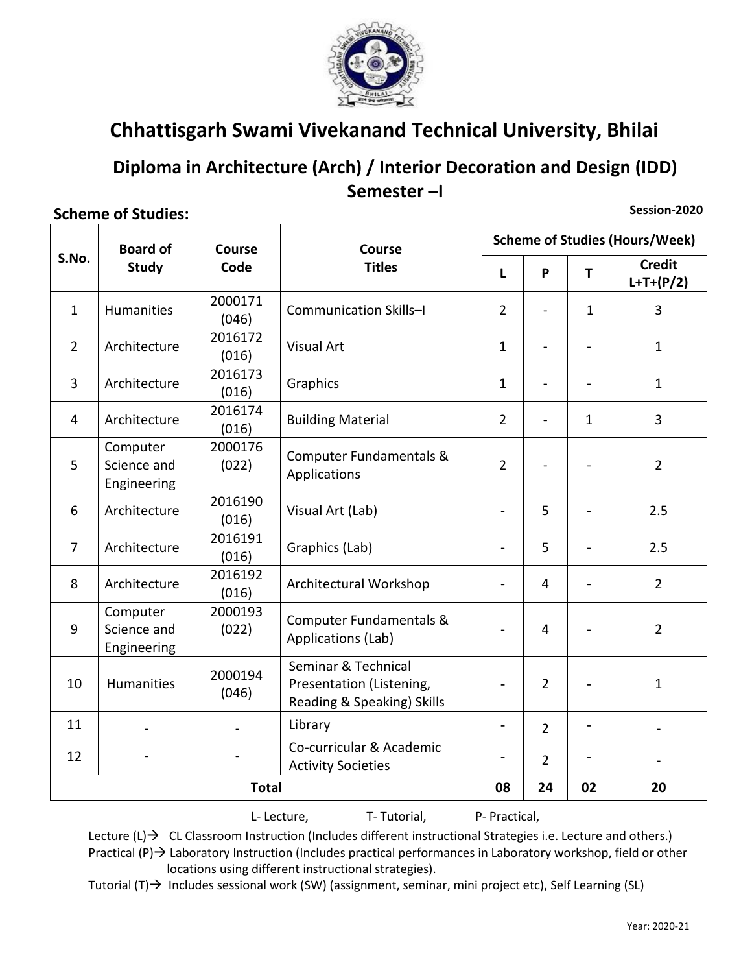

### Diploma in Architecture (Arch) / Interior Decoration and Design (IDD) Semester-I

#### **Scheme of Studies:**

Session-2020

|                | <b>Board of</b>                        | Course           | Course                                                                        | <b>Scheme of Studies (Hours/Week)</b> |                          |                          |                              |  |
|----------------|----------------------------------------|------------------|-------------------------------------------------------------------------------|---------------------------------------|--------------------------|--------------------------|------------------------------|--|
| S.No.          | <b>Study</b>                           | Code             | <b>Titles</b>                                                                 | L                                     | P                        | T                        | <b>Credit</b><br>$L+T+(P/2)$ |  |
| $\mathbf{1}$   | <b>Humanities</b>                      | 2000171<br>(046) | <b>Communication Skills-I</b>                                                 | $\overline{2}$                        | $\blacksquare$           | $\mathbf{1}$             | 3                            |  |
| $\overline{2}$ | Architecture                           | 2016172<br>(016) | Visual Art                                                                    | 1                                     | $\blacksquare$           | $\blacksquare$           | $\mathbf{1}$                 |  |
| 3              | Architecture                           | 2016173<br>(016) | Graphics                                                                      | 1                                     | $\overline{\phantom{0}}$ |                          | $\mathbf{1}$                 |  |
| $\overline{4}$ | Architecture                           | 2016174<br>(016) | <b>Building Material</b>                                                      | $\overline{2}$                        | $\blacksquare$           | $\mathbf{1}$             | 3                            |  |
| 5              | Computer<br>Science and<br>Engineering | 2000176<br>(022) | Computer Fundamentals &<br>Applications                                       | $\overline{2}$                        |                          |                          | $\overline{2}$               |  |
| 6              | Architecture                           | 2016190<br>(016) | Visual Art (Lab)                                                              | $\overline{\phantom{a}}$              | 5                        | $\blacksquare$           | 2.5                          |  |
| 7              | Architecture                           | 2016191<br>(016) | Graphics (Lab)                                                                | $\blacksquare$                        | 5                        | $\blacksquare$           | 2.5                          |  |
| 8              | Architecture                           | 2016192<br>(016) | Architectural Workshop                                                        |                                       | 4                        |                          | $\overline{2}$               |  |
| 9              | Computer<br>Science and<br>Engineering | 2000193<br>(022) | Computer Fundamentals &<br>Applications (Lab)                                 |                                       | 4                        |                          | $\overline{2}$               |  |
| 10             | <b>Humanities</b>                      | 2000194<br>(046) | Seminar & Technical<br>Presentation (Listening,<br>Reading & Speaking) Skills | $\overline{\phantom{0}}$              | $\overline{2}$           |                          | $\mathbf{1}$                 |  |
| 11             |                                        |                  | Library                                                                       | $\overline{\phantom{0}}$              | $\overline{2}$           | $\frac{1}{2}$            |                              |  |
| 12             |                                        |                  | Co-curricular & Academic<br><b>Activity Societies</b>                         | $\overline{\phantom{a}}$              | $\overline{2}$           | $\overline{\phantom{a}}$ |                              |  |
| <b>Total</b>   |                                        |                  |                                                                               |                                       | 24                       | 02                       | 20                           |  |

L-Lecture, T-Tutorial, P- Practical,

Lecture  $(L) \rightarrow CL$  CL Classroom Instruction (Includes different instructional Strategies i.e. Lecture and others.) Practical  $(P)$   $\rightarrow$  Laboratory Instruction (Includes practical performances in Laboratory workshop, field or other locations using different instructional strategies).

Tutorial  $(T) \rightarrow$  Includes sessional work (SW) (assignment, seminar, mini project etc), Self Learning (SL)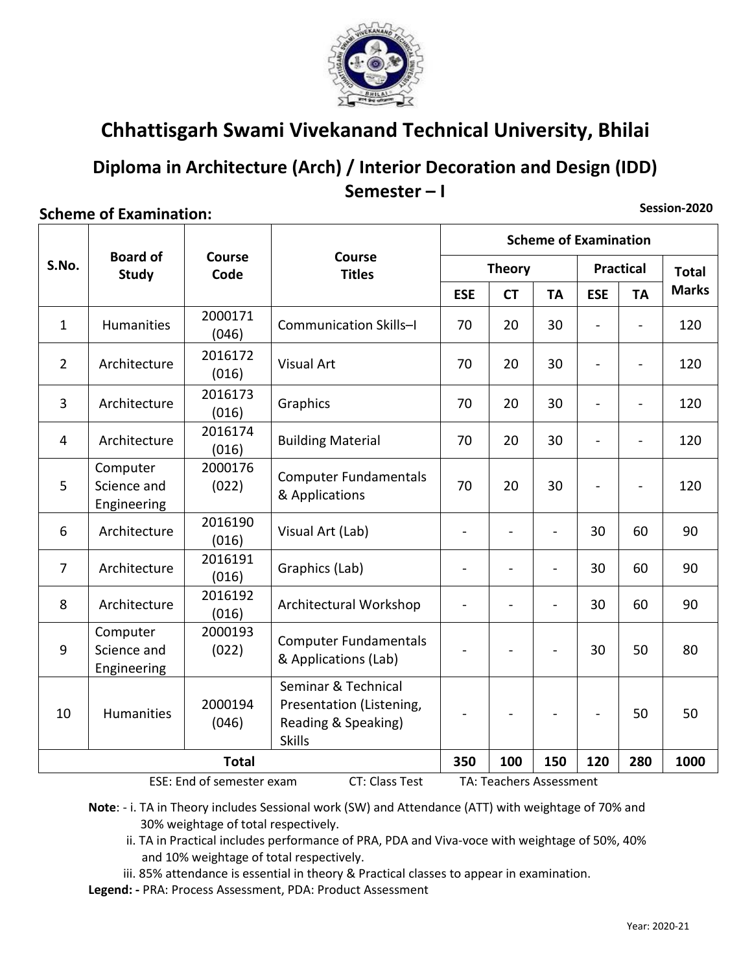

## Diploma in Architecture (Arch) / Interior Decoration and Design (IDD) Semester-I

### **Scheme of Examination:**

Session-2020

|                |                                                    | Course<br>Code   | <b>Course</b><br><b>Titles</b>                                                          | <b>Scheme of Examination</b> |                         |                          |                          |                |              |
|----------------|----------------------------------------------------|------------------|-----------------------------------------------------------------------------------------|------------------------------|-------------------------|--------------------------|--------------------------|----------------|--------------|
| S.No.          | <b>Board of</b><br><b>Study</b>                    |                  |                                                                                         | <b>Theory</b>                |                         |                          | <b>Practical</b>         |                | <b>Total</b> |
|                |                                                    |                  |                                                                                         | <b>ESE</b>                   | <b>CT</b>               | <b>TA</b>                | <b>ESE</b>               | <b>TA</b>      | <b>Marks</b> |
| $\mathbf{1}$   | <b>Humanities</b>                                  | 2000171<br>(046) | Communication Skills-I                                                                  | 70                           | 20                      | 30                       |                          |                | 120          |
| $\overline{2}$ | Architecture                                       | 2016172<br>(016) | <b>Visual Art</b>                                                                       | 70                           | 20                      | 30                       |                          | $\overline{a}$ | 120          |
| 3              | Architecture                                       | 2016173<br>(016) | Graphics                                                                                | 70                           | 20                      | 30                       | $\overline{\phantom{a}}$ | -              | 120          |
| 4              | Architecture                                       | 2016174<br>(016) | <b>Building Material</b>                                                                | 70                           | 20                      | 30                       |                          | $\overline{a}$ | 120          |
| 5              | Computer<br>Science and<br>Engineering             | 2000176<br>(022) | <b>Computer Fundamentals</b><br>& Applications                                          | 70                           | 20                      | 30                       |                          |                | 120          |
| 6              | Architecture                                       | 2016190<br>(016) | Visual Art (Lab)                                                                        | $\blacksquare$               |                         | $\overline{\phantom{a}}$ | 30                       | 60             | 90           |
| $\overline{7}$ | Architecture                                       | 2016191<br>(016) | Graphics (Lab)                                                                          | $\overline{\phantom{a}}$     |                         | $\overline{\phantom{a}}$ | 30                       | 60             | 90           |
| 8              | Architecture                                       | 2016192<br>(016) | Architectural Workshop                                                                  |                              |                         | $\qquad \qquad -$        | 30                       | 60             | 90           |
| 9              | Computer<br>Science and<br>Engineering             | 2000193<br>(022) | <b>Computer Fundamentals</b><br>& Applications (Lab)                                    |                              |                         |                          | 30                       | 50             | 80           |
| 10             | Humanities                                         | 2000194<br>(046) | Seminar & Technical<br>Presentation (Listening,<br>Reading & Speaking)<br><b>Skills</b> |                              |                         |                          |                          | 50             | 50           |
|                |                                                    | <b>Total</b>     |                                                                                         | 350                          | 100                     | 150                      | 120                      | 280            | 1000         |
|                | <b>CT: Class Test</b><br>ESE: End of semester exam |                  |                                                                                         |                              | TA: Teachers Assessment |                          |                          |                |              |

Note: - i. TA in Theory includes Sessional work (SW) and Attendance (ATT) with weightage of 70% and 30% weightage of total respectively.

ii. TA in Practical includes performance of PRA, PDA and Viva-voce with weightage of 50%, 40% and 10% weightage of total respectively.

iii. 85% attendance is essential in theory & Practical classes to appear in examination.

Legend: - PRA: Process Assessment, PDA: Product Assessment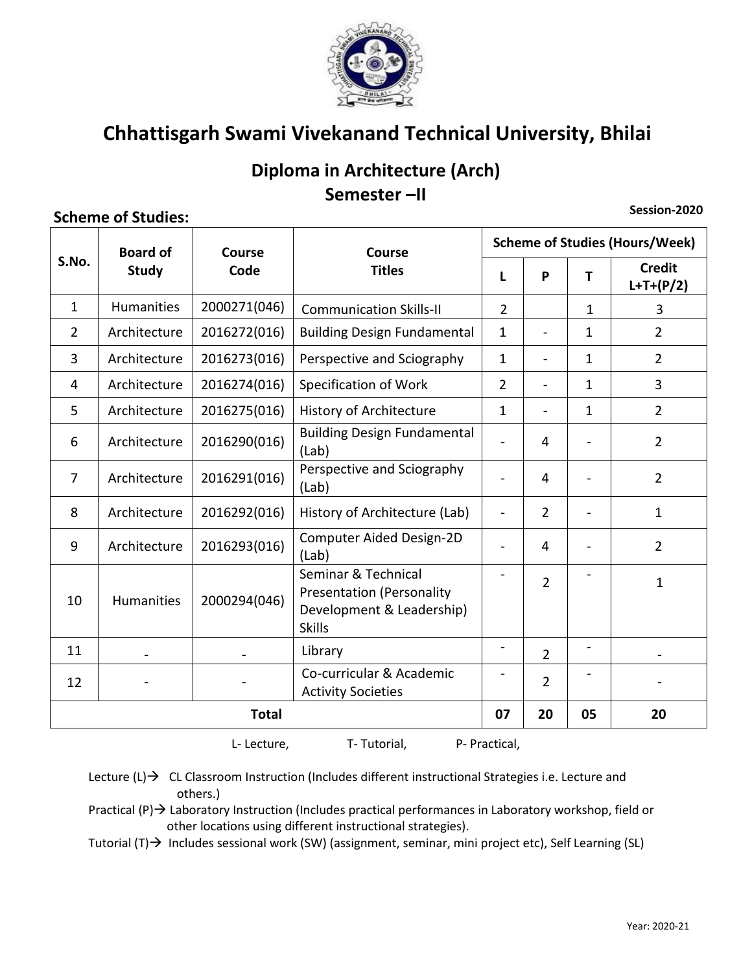

### Diploma in Architecture (Arch) Semester-II

### **Scheme of Studies:**

Session-2020

|                | <b>Board of</b>   | Course<br>Code | Course                                                                                                | <b>Scheme of Studies (Hours/Week)</b> |                          |                          |                              |  |
|----------------|-------------------|----------------|-------------------------------------------------------------------------------------------------------|---------------------------------------|--------------------------|--------------------------|------------------------------|--|
| S.No.          | <b>Study</b>      |                | <b>Titles</b>                                                                                         | T.                                    | P                        | т                        | <b>Credit</b><br>$L+T+(P/2)$ |  |
| $\mathbf{1}$   | Humanities        | 2000271(046)   | <b>Communication Skills-II</b>                                                                        | $\overline{2}$                        |                          | $\mathbf{1}$             | 3                            |  |
| $\overline{2}$ | Architecture      | 2016272(016)   | <b>Building Design Fundamental</b>                                                                    | 1                                     |                          | $\mathbf{1}$             | $\overline{2}$               |  |
| 3              | Architecture      | 2016273(016)   | Perspective and Sciography                                                                            | $\mathbf{1}$                          |                          | 1                        | $\overline{2}$               |  |
| 4              | Architecture      | 2016274(016)   | Specification of Work                                                                                 | $\overline{2}$                        |                          | 1                        | 3                            |  |
| 5              | Architecture      | 2016275(016)   | <b>History of Architecture</b>                                                                        | $\mathbf{1}$                          | $\overline{\phantom{a}}$ | 1                        | $\overline{2}$               |  |
| 6              | Architecture      | 2016290(016)   | <b>Building Design Fundamental</b><br>(Lab)                                                           | $\overline{\phantom{a}}$              | 4                        | $\blacksquare$           | $\overline{2}$               |  |
| 7              | Architecture      | 2016291(016)   | Perspective and Sciography<br>(Lab)                                                                   |                                       | $\overline{4}$           |                          | $\overline{2}$               |  |
| 8              | Architecture      | 2016292(016)   | History of Architecture (Lab)                                                                         |                                       | $\overline{2}$           |                          | $\mathbf{1}$                 |  |
| 9              | Architecture      | 2016293(016)   | <b>Computer Aided Design-2D</b><br>(Lab)                                                              |                                       | 4                        |                          | $\overline{2}$               |  |
| 10             | <b>Humanities</b> | 2000294(046)   | Seminar & Technical<br><b>Presentation (Personality</b><br>Development & Leadership)<br><b>Skills</b> |                                       | $\overline{2}$           |                          | $\mathbf{1}$                 |  |
| 11             |                   |                | Library                                                                                               | $\overline{a}$                        | $\overline{2}$           | $\overline{\phantom{a}}$ |                              |  |
| 12             |                   |                | Co-curricular & Academic<br><b>Activity Societies</b>                                                 |                                       | $\overline{2}$           |                          |                              |  |
| <b>Total</b>   |                   |                | 07                                                                                                    | 20                                    | 05                       | 20                       |                              |  |

L-Lecture,

T-Tutorial, P- Practical,

Lecture  $(L) \rightarrow CL$  CL Classroom Instruction (Includes different instructional Strategies i.e. Lecture and others.)

Practical  $(P)$   $\rightarrow$  Laboratory Instruction (Includes practical performances in Laboratory workshop, field or other locations using different instructional strategies).

Tutorial  $(T)$  Includes sessional work (SW) (assignment, seminar, mini project etc), Self Learning (SL)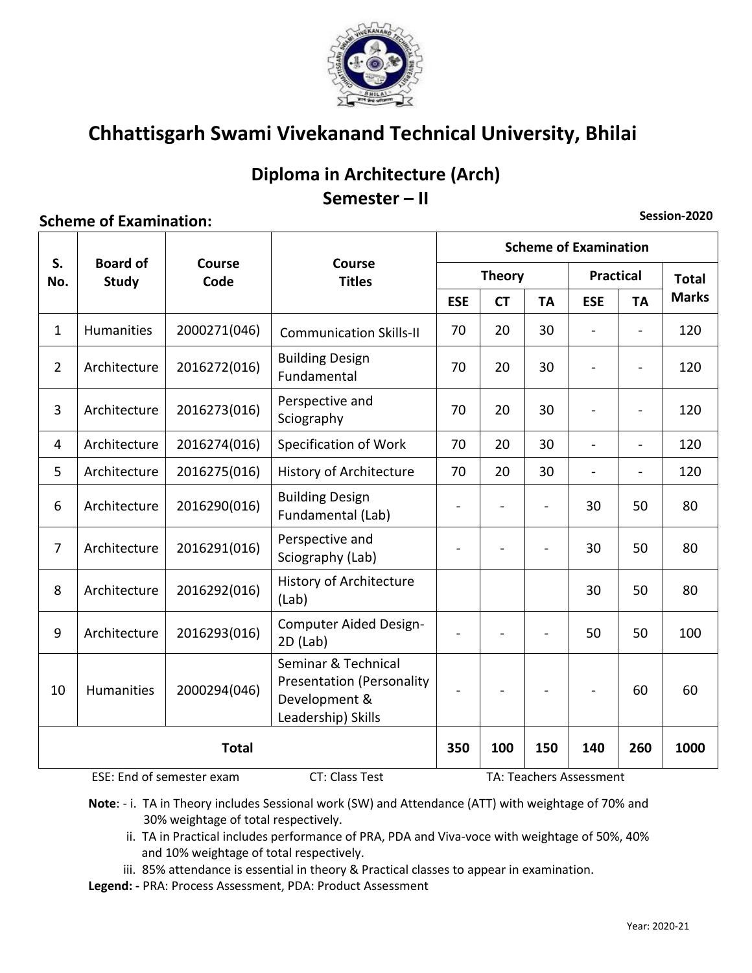

### Diploma in Architecture (Arch) Semester - II

### **Scheme of Examination:**

|                |                                 |                           |                                                                                                | <b>Scheme of Examination</b> |           |           |                          |                          |              |  |
|----------------|---------------------------------|---------------------------|------------------------------------------------------------------------------------------------|------------------------------|-----------|-----------|--------------------------|--------------------------|--------------|--|
| S.<br>No.      | <b>Board of</b><br><b>Study</b> | <b>Course</b><br>Code     | <b>Course</b><br><b>Titles</b>                                                                 | <b>Theory</b>                |           |           | <b>Practical</b>         | <b>Total</b>             |              |  |
|                |                                 |                           |                                                                                                | <b>ESE</b>                   | <b>CT</b> | <b>TA</b> | <b>ESE</b>               | <b>TA</b>                | <b>Marks</b> |  |
| $\mathbf{1}$   | Humanities                      | 2000271(046)              | <b>Communication Skills-II</b>                                                                 | 70                           | 20        | 30        | $\overline{a}$           |                          | 120          |  |
| $\overline{2}$ | Architecture                    | 2016272(016)              | <b>Building Design</b><br>Fundamental                                                          | 70                           | 20        | 30        |                          |                          | 120          |  |
| 3              | Architecture                    | 2016273(016)              | Perspective and<br>Sciography                                                                  | 70                           | 20        | 30        |                          |                          | 120          |  |
| $\overline{4}$ | Architecture                    | 2016274(016)              | Specification of Work                                                                          | 70                           | 20        | 30        | $\overline{\phantom{a}}$ | $\blacksquare$           | 120          |  |
| 5              | Architecture                    | 2016275(016)              | History of Architecture                                                                        | 70                           | 20        | 30        | $\overline{\phantom{a}}$ | $\overline{\phantom{a}}$ | 120          |  |
| 6              | Architecture                    | 2016290(016)              | <b>Building Design</b><br>Fundamental (Lab)                                                    | $\overline{a}$               |           |           | 30                       | 50                       | 80           |  |
| $\overline{7}$ | Architecture                    | 2016291(016)              | Perspective and<br>Sciography (Lab)                                                            |                              |           |           | 30                       | 50                       | 80           |  |
| 8              | Architecture                    | 2016292(016)              | History of Architecture<br>(Lab)                                                               |                              |           |           | 30                       | 50                       | 80           |  |
| 9              | Architecture                    | 2016293(016)              | Computer Aided Design-<br>$2D$ (Lab)                                                           | $\overline{\phantom{a}}$     |           |           | 50                       | 50                       | 100          |  |
| 10             | Humanities                      | 2000294(046)              | Seminar & Technical<br><b>Presentation (Personality</b><br>Development &<br>Leadership) Skills |                              |           |           |                          | 60                       | 60           |  |
|                | <b>Total</b>                    |                           |                                                                                                | 350                          | 100       | 150       | 140                      | 260                      | 1000         |  |
|                |                                 | ESE: End of semester exam | <b>CT: Class Test</b>                                                                          |                              |           |           | TA: Teachers Assessment  |                          |              |  |

Note: - i. TA in Theory includes Sessional work (SW) and Attendance (ATT) with weightage of 70% and 30% weightage of total respectively.

- ii. TA in Practical includes performance of PRA, PDA and Viva-voce with weightage of 50%, 40% and 10% weightage of total respectively.
- iii. 85% attendance is essential in theory & Practical classes to appear in examination.
- Legend: PRA: Process Assessment, PDA: Product Assessment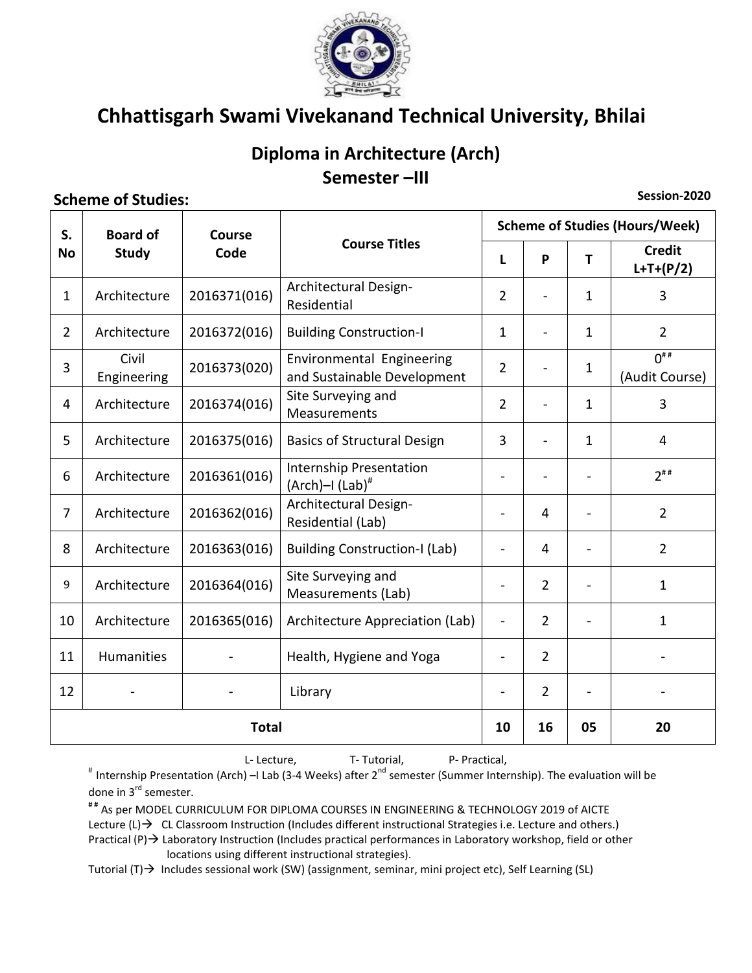

## Diploma in Architecture (Arch) Semester-III

### **Scheme of Studies:**

Session-2020

| S.             | <b>Board of</b>      | <b>Course</b> |                                                          | <b>Scheme of Studies (Hours/Week)</b> |                |              |                              |  |  |
|----------------|----------------------|---------------|----------------------------------------------------------|---------------------------------------|----------------|--------------|------------------------------|--|--|
| <b>No</b>      | <b>Study</b>         | Code          | <b>Course Titles</b>                                     | L                                     | P              | T            | <b>Credit</b><br>$L+T+(P/2)$ |  |  |
| $\mathbf{1}$   | Architecture         | 2016371(016)  | Architectural Design-<br>Residential                     | $\overline{2}$                        |                | $\mathbf{1}$ | 3                            |  |  |
| $\overline{2}$ | Architecture         | 2016372(016)  | <b>Building Construction-I</b>                           | 1                                     | $\overline{a}$ | $\mathbf{1}$ | $\overline{2}$               |  |  |
| 3              | Civil<br>Engineering | 2016373(020)  | Environmental Engineering<br>and Sustainable Development | $\overline{2}$                        |                | $\mathbf{1}$ | $0^{***}$<br>(Audit Course)  |  |  |
| 4              | Architecture         | 2016374(016)  | Site Surveying and<br>Measurements                       | $\overline{2}$                        |                | $\mathbf{1}$ | 3                            |  |  |
| 5              | Architecture         | 2016375(016)  | <b>Basics of Structural Design</b>                       | 3                                     | ÷.             | $\mathbf{1}$ | 4                            |  |  |
| 6              | Architecture         | 2016361(016)  | Internship Presentation<br>$(Arch)$ -I $(Lab)^{\#}$      |                                       |                |              | $2$ <sup>##</sup>            |  |  |
| $\overline{7}$ | Architecture         | 2016362(016)  | Architectural Design-<br>Residential (Lab)               |                                       | $\overline{4}$ |              | $\overline{2}$               |  |  |
| 8              | Architecture         | 2016363(016)  | <b>Building Construction-I (Lab)</b>                     |                                       | $\overline{4}$ |              | $\overline{2}$               |  |  |
| 9              | Architecture         | 2016364(016)  | Site Surveying and<br>Measurements (Lab)                 |                                       | $\overline{2}$ |              | $\mathbf{1}$                 |  |  |
| 10             | Architecture         | 2016365(016)  | Architecture Appreciation (Lab)                          | $\overline{\phantom{a}}$              | $\overline{2}$ |              | $\mathbf{1}$                 |  |  |
| 11             | Humanities           |               | Health, Hygiene and Yoga                                 | $\overline{\phantom{a}}$              | $\overline{2}$ |              |                              |  |  |
| 12             |                      |               | Library                                                  |                                       | $\overline{2}$ |              |                              |  |  |
| <b>Total</b>   |                      |               |                                                          |                                       | 16             | 05           | 20                           |  |  |

L-Lecture, T-Tutorial, P- Practical,

# Internship Presentation (Arch) - I Lab (3-4 Weeks) after 2<sup>nd</sup> semester (Summer Internship). The evaluation will be done in 3<sup>rd</sup> semester.

## As per MODEL CURRICULUM FOR DIPLOMA COURSES IN ENGINEERING & TECHNOLOGY 2019 of AICTE Lecture  $(L) \rightarrow CL$  CL Classroom Instruction (Includes different instructional Strategies i.e. Lecture and others.) Practical  $(P)$   $\rightarrow$  Laboratory Instruction (Includes practical performances in Laboratory workshop, field or other locations using different instructional strategies).

Tutorial  $(T) \rightarrow$  Includes sessional work (SW) (assignment, seminar, mini project etc), Self Learning (SL)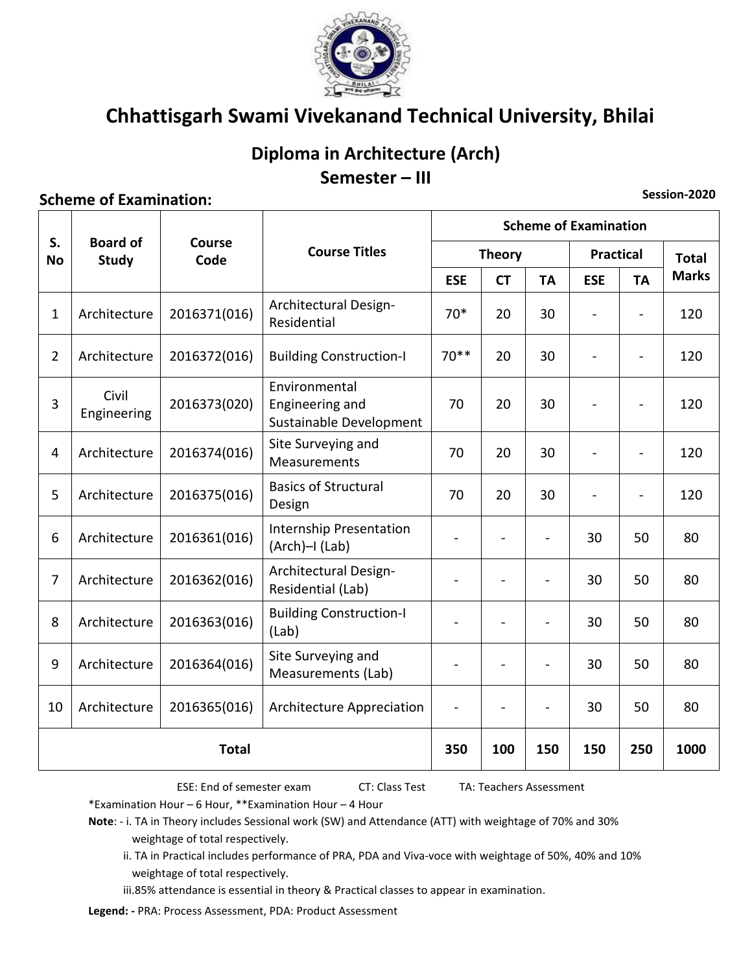

## Diploma in Architecture (Arch) Semester - III

### **Scheme of Examination:**

Session-2020

|                 |                                 | Course<br>Code |                                                             | <b>Scheme of Examination</b> |                |                |                      |                |     |  |
|-----------------|---------------------------------|----------------|-------------------------------------------------------------|------------------------------|----------------|----------------|----------------------|----------------|-----|--|
| S.<br><b>No</b> | <b>Board of</b><br><b>Study</b> |                | <b>Course Titles</b>                                        | <b>Theory</b>                |                |                | <b>Practical</b>     | <b>Total</b>   |     |  |
|                 |                                 |                |                                                             | <b>ESE</b><br><b>CT</b>      | <b>TA</b>      | <b>ESE</b>     | <b>TA</b>            | <b>Marks</b>   |     |  |
| $\mathbf{1}$    | Architecture                    | 2016371(016)   | Architectural Design-<br>Residential                        | $70*$                        | 20             | 30             | $\ddot{\phantom{1}}$ | $\blacksquare$ | 120 |  |
| $\overline{2}$  | Architecture                    | 2016372(016)   | <b>Building Construction-I</b>                              | $70**$                       | 20             | 30             | $\overline{a}$       | $\blacksquare$ | 120 |  |
| 3               | Civil<br>Engineering            | 2016373(020)   | Environmental<br>Engineering and<br>Sustainable Development | 70                           | 20             | 30             |                      | $\overline{a}$ | 120 |  |
| 4               | Architecture                    | 2016374(016)   | Site Surveying and<br>Measurements                          | 70                           | 20             | 30             |                      |                | 120 |  |
| 5               | Architecture                    | 2016375(016)   | <b>Basics of Structural</b><br>Design                       | 70                           | 20             | 30             |                      |                | 120 |  |
| 6               | Architecture                    | 2016361(016)   | Internship Presentation<br>(Arch)-I (Lab)                   |                              | $\blacksquare$ | $\blacksquare$ | 30                   | 50             | 80  |  |
| $\overline{7}$  | Architecture                    | 2016362(016)   | Architectural Design-<br>Residential (Lab)                  |                              |                |                | 30                   | 50             | 80  |  |
| 8               | Architecture                    | 2016363(016)   | <b>Building Construction-I</b><br>(Lab)                     |                              |                | $\blacksquare$ | 30                   | 50             | 80  |  |
| 9               | Architecture                    | 2016364(016)   | Site Surveying and<br>Measurements (Lab)                    |                              |                |                | 30                   | 50             | 80  |  |
| 10              | Architecture                    | 2016365(016)   | Architecture Appreciation                                   |                              |                |                | 30                   | 50             | 80  |  |
| <b>Total</b>    |                                 |                | 350                                                         | 100                          | 150            | 150            | 250                  | 1000           |     |  |

ESE: End of semester exam

CT: Class Test

TA: Teachers Assessment

\*Examination Hour - 6 Hour, \*\*Examination Hour - 4 Hour

Note: - i. TA in Theory includes Sessional work (SW) and Attendance (ATT) with weightage of 70% and 30% weightage of total respectively.

ii. TA in Practical includes performance of PRA, PDA and Viva-voce with weightage of 50%, 40% and 10% weightage of total respectively.

iii.85% attendance is essential in theory & Practical classes to appear in examination.

Legend: - PRA: Process Assessment, PDA: Product Assessment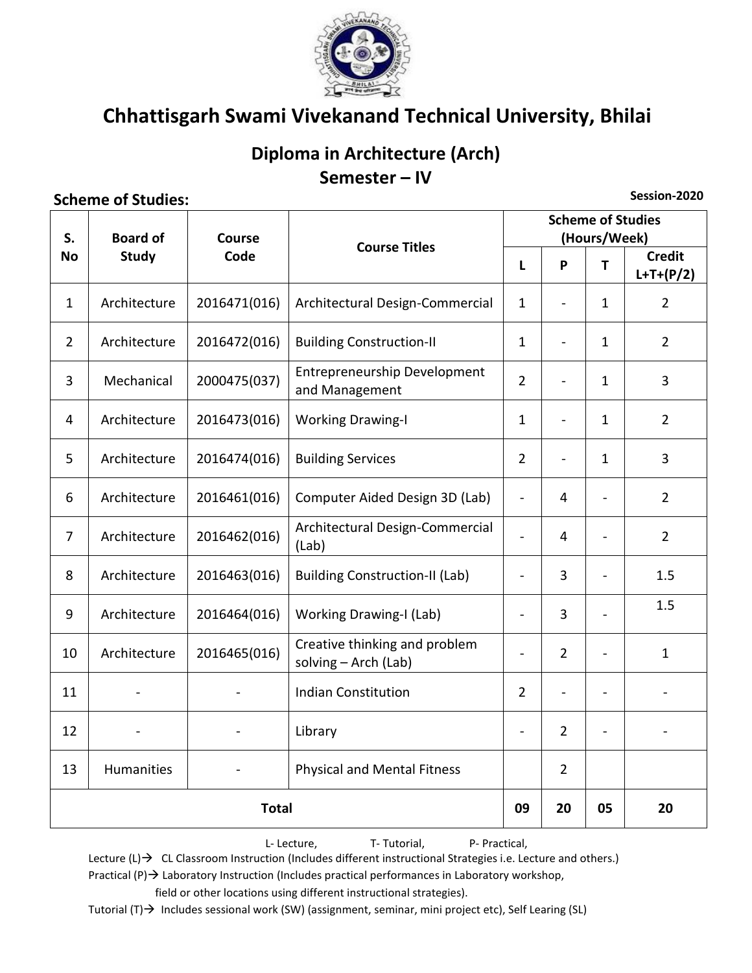

## Diploma in Architecture (Arch) Semester - IV

#### **Scheme of Studies:**

Session-2020

| S.             | <b>Board of</b> | <b>Course</b> |                                                       |                          | <b>Scheme of Studies</b><br>(Hours/Week) |                |                              |
|----------------|-----------------|---------------|-------------------------------------------------------|--------------------------|------------------------------------------|----------------|------------------------------|
| <b>No</b>      | <b>Study</b>    | Code          | <b>Course Titles</b>                                  |                          | P                                        | T              | <b>Credit</b><br>$L+T+(P/2)$ |
| $\mathbf{1}$   | Architecture    | 2016471(016)  | Architectural Design-Commercial                       | $\mathbf{1}$             |                                          | $\mathbf{1}$   | $\overline{2}$               |
| $\overline{2}$ | Architecture    | 2016472(016)  | <b>Building Construction-II</b>                       | $\mathbf{1}$             | ä,                                       | $\mathbf{1}$   | $\overline{2}$               |
| 3              | Mechanical      | 2000475(037)  | Entrepreneurship Development<br>and Management        | $\overline{2}$           | $\blacksquare$                           | $\mathbf{1}$   | 3                            |
| 4              | Architecture    | 2016473(016)  | <b>Working Drawing-I</b>                              | $\mathbf{1}$             |                                          | $\mathbf{1}$   | $\overline{2}$               |
| 5              | Architecture    | 2016474(016)  | <b>Building Services</b>                              | $\overline{2}$           | ÷,                                       | $\mathbf{1}$   | 3                            |
| 6              | Architecture    | 2016461(016)  | Computer Aided Design 3D (Lab)                        | $\overline{\phantom{0}}$ | 4                                        | $\blacksquare$ | $\overline{2}$               |
| $\overline{7}$ | Architecture    | 2016462(016)  | Architectural Design-Commercial<br>(Lab)              | L,                       | $\overline{4}$                           | $\overline{a}$ | $\overline{2}$               |
| 8              | Architecture    | 2016463(016)  | <b>Building Construction-II (Lab)</b>                 | $\overline{a}$           | 3                                        |                | 1.5                          |
| 9              | Architecture    | 2016464(016)  | <b>Working Drawing-I (Lab)</b>                        | $\overline{\phantom{0}}$ | 3                                        | $\overline{a}$ | 1.5                          |
| 10             | Architecture    | 2016465(016)  | Creative thinking and problem<br>solving - Arch (Lab) | $\overline{a}$           | $\overline{2}$                           | $\overline{a}$ | $\mathbf{1}$                 |
| 11             |                 |               | <b>Indian Constitution</b>                            | $\overline{2}$           |                                          | -              |                              |
| 12             |                 |               | Library                                               | $\overline{a}$           | $\overline{2}$                           | -              |                              |
| 13             | Humanities      |               | <b>Physical and Mental Fitness</b>                    |                          | $\overline{2}$                           |                |                              |
|                | <b>Total</b>    |               |                                                       |                          | 20                                       | 05             | 20                           |

L-Lecture, T-Tutorial, P- Practical,

Lecture  $(L) \rightarrow CL$  CL Classroom Instruction (Includes different instructional Strategies i.e. Lecture and others.)

Practical  $(P) \rightarrow$  Laboratory Instruction (Includes practical performances in Laboratory workshop, field or other locations using different instructional strategies).

Tutorial (T) → Includes sessional work (SW) (assignment, seminar, mini project etc), Self Learing (SL)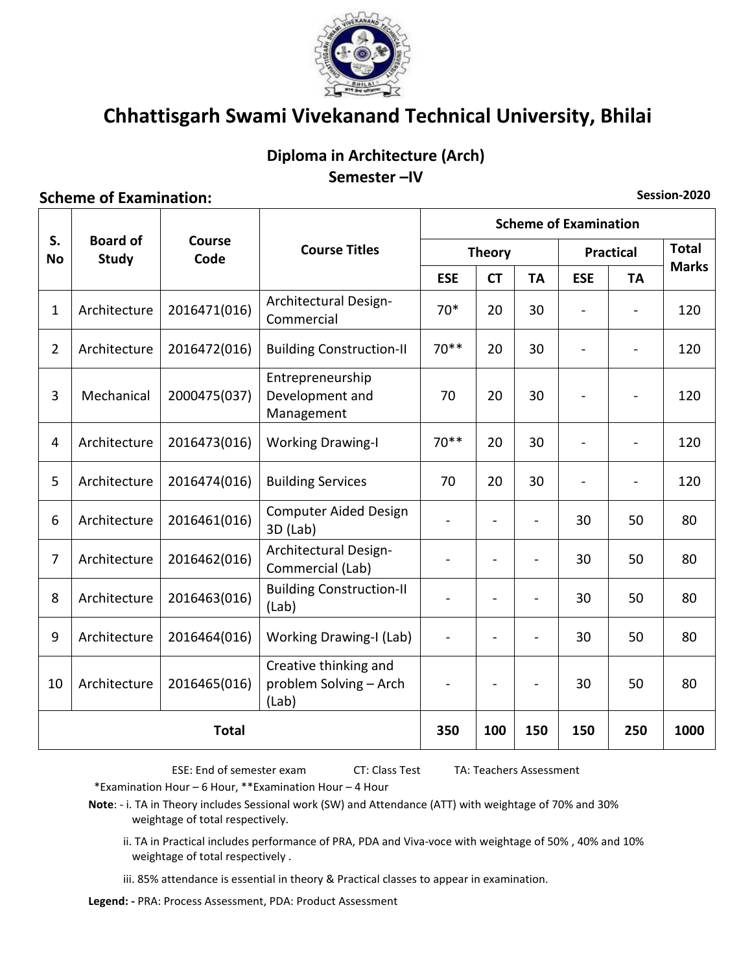

### Diploma in Architecture (Arch) Semester-IV

Session-2020

#### **Scheme of Examination:**

**Scheme of Examination**  $S_{n}$ **Board of** Course **Course Titles Total Practical Theory** Code **No Study Marks ESE CT ESE TA TA Architectural Design-**Architecture 2016471(016)  $70*$ 20 30 120  $\mathbf{1}$  $\overline{a}$  $\mathbf{r}$ Commercial  $70***$  $\overline{2}$ Architecture 2016472(016) **Building Construction-II** 20 30  $\mathbf{r}$  $\mathbf{r}$ 120 Entrepreneurship 3 Mechanical 2000475(037) Development and 70 20 30 120  $\overline{a}$ Management  $\overline{4}$ Architecture 2016473(016) **Working Drawing-I**  $70**$  $20<sup>2</sup>$ 30  $120$ 5 Architecture **Building Services** 70 20 30 2016474(016) 120  $\overline{a}$  $\overline{a}$ **Computer Aided Design** 6 Architecture 2016461(016) 30 50 80 3D (Lab) Architectural Design- $\overline{7}$ Architecture 2016462(016) 30 50 80  $\mathbf{r}$  $\overline{a}$ Commercial (Lab) **Building Construction-II** Architecture 2016463(016) 8 30 50 80  $(Lab)$ 9 Architecture 2016464(016) **Working Drawing-I (Lab)**  $30<sup>°</sup>$ 50 80  $\overline{a}$ Creative thinking and 10 Architecture problem Solving - Arch 2016465(016) 30 50 80  $\overline{a}$  $\overline{a}$  $(Lab)$ 100 150 250 1000 Total 350 150

> ESE: End of semester exam CT: Class Test TA: Teachers Assessment

\*Examination Hour - 6 Hour, \*\*Examination Hour - 4 Hour

Note: - i. TA in Theory includes Sessional work (SW) and Attendance (ATT) with weightage of 70% and 30% weightage of total respectively.

ii. TA in Practical includes performance of PRA, PDA and Viva-voce with weightage of 50%, 40% and 10% weightage of total respectively.

iii. 85% attendance is essential in theory & Practical classes to appear in examination.

Legend: - PRA: Process Assessment, PDA: Product Assessment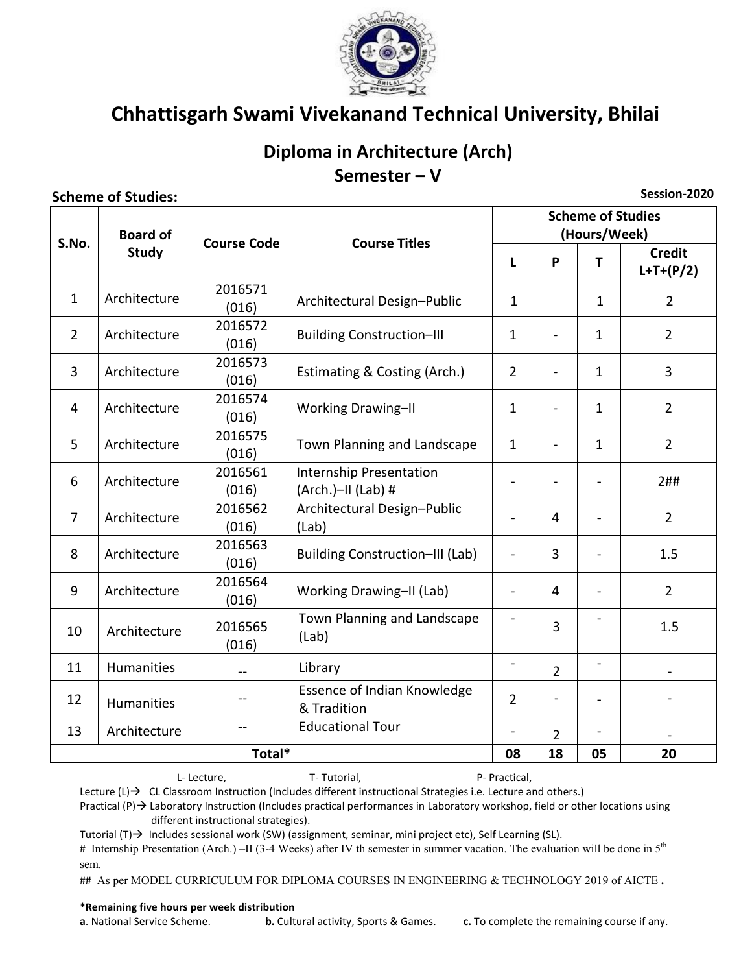

## Diploma in Architecture (Arch) Semester  $- V$

#### **Scheme of Studies:**

**Scheme of Studies Board of** (Hours/Week) S.No. **Course Code Course Titles** Study **Credit**  $\mathbf{L}$ **p** T  $L+T+(P/2)$ 2016571  $\mathbf{1}$ Architecture Architectural Design-Public  $\mathbf{1}$  $\mathbf{1}$  $\overline{2}$  $(016)$ 2016572  $\mathcal{L}$ Architecture **Building Construction-III**  $\mathbf{1}$  $\overline{a}$  $\mathbf{1}$  $\overline{2}$  $(016)$ 2016573  $\overline{3}$ Architecture Estimating & Costing (Arch.)  $\mathcal{L}$  $\mathbf{1}$  $\overline{3}$  $\overline{a}$  $(016)$ 2016574  $\overline{4}$ Architecture **Working Drawing-II**  $\mathbf{1}$  $\overline{2}$  $\overline{a}$  $\mathbf{1}$  $(016)$ 2016575 5 Architecture Town Planning and Landscape  $\mathbf{1}$  $\overline{2}$  $\mathbf{1}$  $(016)$ 2016561 Internship Presentation 6 Architecture  $2##$  $(016)$  $(Arch.)$ -II  $(Lab)$ # 2016562 Architectural Design-Public  $\overline{7}$ Architecture  $\overline{\mathbf{A}}$  $2^{\circ}$  $\overline{a}$  $(016)$  $(Lab)$ 2016563 **Building Construction-III (Lab)** 8 Architecture  $\overline{a}$ 3  $\overline{a}$  $1.5$  $(016)$ 2016564  $\mathsf{q}$ Architecture Working Drawing-II (Lab)  $\overline{a}$  $\overline{4}$  $\mathcal{P}$  $\overline{a}$  $(016)$ Town Planning and Landscape  $\overline{a}$  $\overline{a}$ 2016565 3  $1.5$ 10 Architecture (Lab)  $(016)$  $\overline{a}$  $\overline{a}$ 11 **Humanities** Library  $\overline{2}$ Essence of Indian Knowledge 12  $\overline{2}$  $\overline{a}$  $\overline{\phantom{a}}$ **Humanities** & Tradition **Educational Tour** 13 Architecture  $\overline{a}$  $\overline{a}$  $\overline{2}$  $\overline{a}$ Total\* 08 18 05 20

L-Lecture,

T-Tutorial.

P- Practical, Lecture  $(L) \rightarrow CL$  CL Classroom Instruction (Includes different instructional Strategies i.e. Lecture and others.)

Practical  $(P)$   $\rightarrow$  Laboratory Instruction (Includes practical performances in Laboratory workshop, field or other locations using different instructional strategies).

Tutorial  $(T) \rightarrow$  Includes sessional work (SW) (assignment, seminar, mini project etc), Self Learning (SL).

# Internship Presentation (Arch.) -II (3-4 Weeks) after IV th semester in summer vacation. The evaluation will be done in 5<sup>th</sup> sem.

## As per MODEL CURRICULUM FOR DIPLOMA COURSES IN ENGINEERING & TECHNOLOGY 2019 of AICTE.

#### \*Remaining five hours per week distribution

a. National Service Scheme.

**b.** Cultural activity, Sports & Games.

c. To complete the remaining course if any.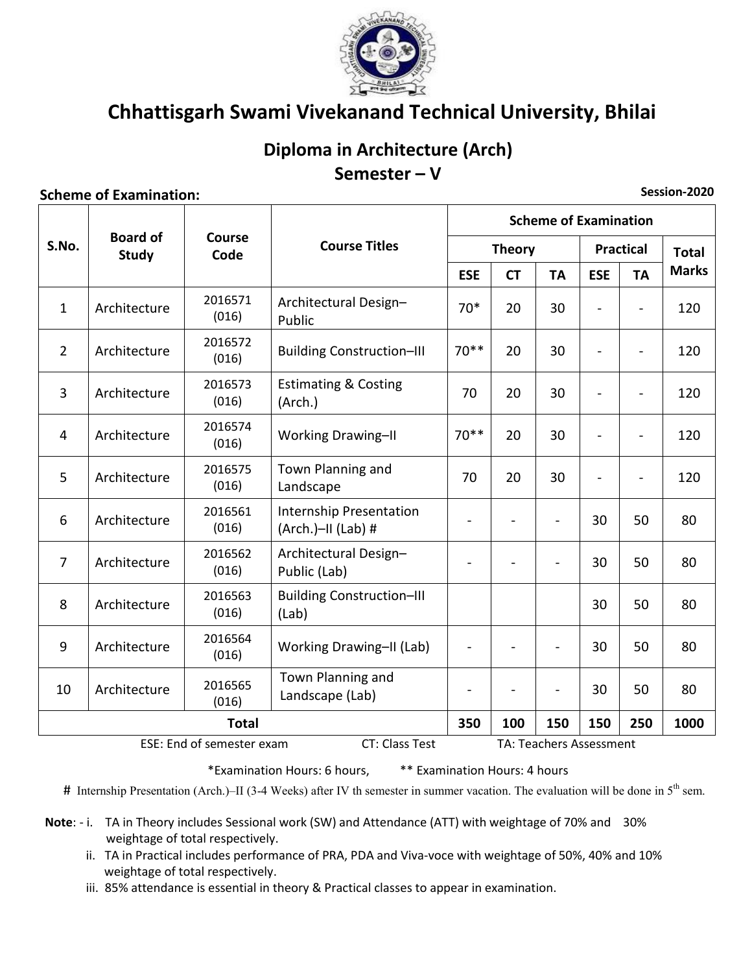

### Diploma in Architecture (Arch) Semester-V

#### **Scheme of Examination:**

**Scheme of Examination Board of Course** S.No. **Course Titles Practical Theory Total** Study Code **Marks ESE CT** TA **ESE TA** 2016571 Architectural Design- $\mathbf{1}$ Architecture  $70*$ 20 30 120  $\mathbf{r}$  $(016)$ Public 2016572  $\overline{2}$ Architecture **Building Construction-III**  $70**$ 20 30 120  $(016)$ **Estimating & Costing** 2016573  $\overline{3}$ Architecture 70 20 30 120  $(016)$ (Arch.) 2016574 **Working Drawing-II**  $70**$  $\overline{4}$ Architecture 20 30  $\overline{a}$ 120  $\blacksquare$  $(016)$ Town Planning and 2016575 5 Architecture 70 20 30  $\Box$  $\overline{a}$ 120  $(016)$ Landscape Internship Presentation 2016561 6 Architecture 30 50 80  $\blacksquare$ (Arch.)-II (Lab) #  $(016)$ Architectural Design-2016562  $\overline{7}$ Architecture 50 30 80  $\overline{a}$  $\overline{a}$  $\overline{a}$  $(016)$ Public (Lab) **Building Construction-III** 2016563 Architecture 8 30 50 80  $(016)$  $(Lab)$ 2016564  $\mathsf{q}$ Architecture Working Drawing-II (Lab)  $\overline{a}$  $\overline{a}$  $\overline{a}$ 30 50 80  $(016)$ Town Planning and 2016565 10 Architecture 30 50 80  $\overline{a}$ Landscape (Lab)  $(016)$ **Total** 350 100 150 150 250 1000

ESE: End of semester exam

TA: Teachers Assessment

\*\* Examination Hours: 4 hours \*Examination Hours: 6 hours,

# Internship Presentation (Arch.)–II (3-4 Weeks) after IV th semester in summer vacation. The evaluation will be done in  $5<sup>th</sup>$  sem.

CT: Class Test

Note: - i. TA in Theory includes Sessional work (SW) and Attendance (ATT) with weightage of 70% and 30% weightage of total respectively.

ii. TA in Practical includes performance of PRA, PDA and Viva-voce with weightage of 50%, 40% and 10% weightage of total respectively.

iii. 85% attendance is essential in theory & Practical classes to appear in examination.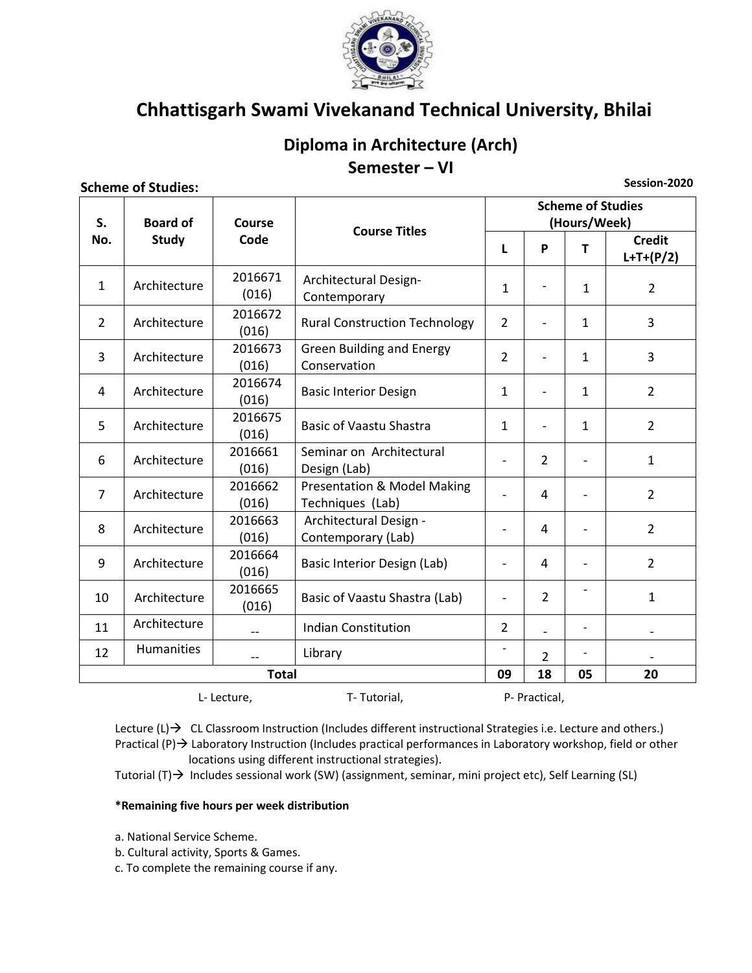

### Diploma in Architecture (Arch) Semester - VI

#### **Scheme of Studies:**

Session-2020

| S.  | <b>Board of</b>                             | Course<br>Code   | <b>Course Titles</b>                                       | <b>Scheme of Studies</b><br>(Hours/Week) |                          |                |                              |  |
|-----|---------------------------------------------|------------------|------------------------------------------------------------|------------------------------------------|--------------------------|----------------|------------------------------|--|
| No. | <b>Study</b>                                |                  |                                                            | L                                        | P                        | T              | <b>Credit</b><br>$L+T+(P/2)$ |  |
| 1   | Architecture                                | 2016671<br>(016) | Architectural Design-<br>Contemporary                      | $\mathbf{1}$                             | $\overline{\phantom{a}}$ | $\mathbf{1}$   | $\overline{2}$               |  |
| 2   | Architecture                                | 2016672<br>(016) | <b>Rural Construction Technology</b>                       | $\overline{2}$                           |                          | $\mathbf{1}$   | 3                            |  |
| 3   | Architecture                                | 2016673<br>(016) | <b>Green Building and Energy</b><br>Conservation           | $\overline{2}$                           |                          | $\mathbf{1}$   | 3                            |  |
| 4   | Architecture                                | 2016674<br>(016) | <b>Basic Interior Design</b>                               | $\mathbf{1}$                             | $\overline{\phantom{a}}$ | $\mathbf{1}$   | $\overline{2}$               |  |
| 5   | Architecture                                | 2016675<br>(016) | <b>Basic of Vaastu Shastra</b>                             | $\mathbf{1}$                             | $\overline{\phantom{a}}$ | $\mathbf{1}$   | $\overline{2}$               |  |
| 6   | Architecture                                | 2016661<br>(016) | Seminar on Architectural<br>Design (Lab)                   | $\overline{\phantom{0}}$                 | $\overline{2}$           |                | $\mathbf{1}$                 |  |
| 7   | Architecture                                | 2016662<br>(016) | <b>Presentation &amp; Model Making</b><br>Techniques (Lab) | $\overline{a}$                           | 4                        |                | $\overline{2}$               |  |
| 8   | Architecture                                | 2016663<br>(016) | Architectural Design -<br>Contemporary (Lab)               | $\overline{a}$                           | 4                        |                | $\overline{2}$               |  |
| 9   | Architecture                                | 2016664<br>(016) | Basic Interior Design (Lab)                                | $\overline{\phantom{0}}$                 | 4                        |                | $\overline{2}$               |  |
| 10  | Architecture                                | 2016665<br>(016) | Basic of Vaastu Shastra (Lab)                              | $\overline{a}$                           | $\overline{2}$           |                | $\mathbf{1}$                 |  |
| 11  | Architecture                                | $- -$            | <b>Indian Constitution</b>                                 | $\overline{2}$                           |                          | $\blacksquare$ |                              |  |
| 12  | Humanities                                  |                  | Library                                                    |                                          | $\overline{2}$           |                |                              |  |
|     |                                             | <b>Total</b>     |                                                            | 09                                       | 18                       | 05             | 20                           |  |
|     | T-Tutorial,<br>P- Practical,<br>L- Lecture, |                  |                                                            |                                          |                          |                |                              |  |

Lecture  $(L) \rightarrow CL$  CL Classroom Instruction (Includes different instructional Strategies i.e. Lecture and others.) Practical (P)  $\rightarrow$  Laboratory Instruction (Includes practical performances in Laboratory workshop, field or other locations using different instructional strategies).

Tutorial (T) → Includes sessional work (SW) (assignment, seminar, mini project etc), Self Learning (SL)

#### \*Remaining five hours per week distribution

- a. National Service Scheme.
- b. Cultural activity, Sports & Games.
- c. To complete the remaining course if any.